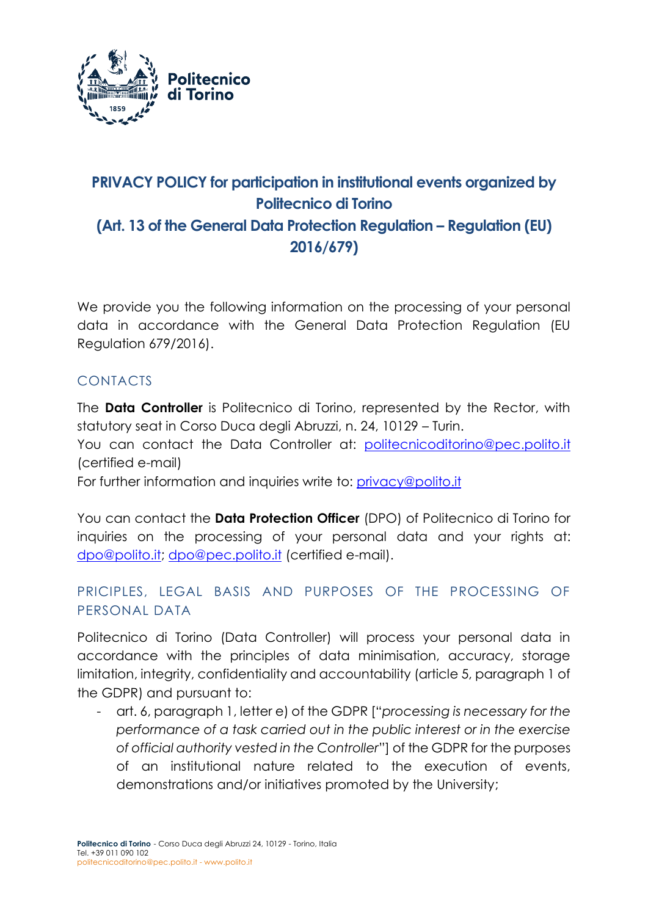

# **PRIVACY POLICY for participation in institutional events organized by Politecnico di Torino (Art. 13 of the General Data Protection Regulation – Regulation (EU) 2016/679)**

We provide you the following information on the processing of your personal data in accordance with the General Data Protection Regulation (EU Regulation 679/2016).

# CONTACTS

The **Data Controller** is Politecnico di Torino, represented by the Rector, with statutory seat in Corso Duca degli Abruzzi, n. 24, 10129 – Turin.

You can contact the Data Controller at: [politecnicoditorino@pec.polito.it](mailto:politecnicoditorino@pec.polito.it) (certified e-mail)

For further information and inquiries write to: [privacy@polito.it](mailto:privacy@polito.it)

You can contact the **Data Protection Officer** (DPO) of Politecnico di Torino for inquiries on the processing of your personal data and your rights at: [dpo@polito.it;](mailto:dpo@polito.it) [dpo@pec.polito.it](mailto:dpo@pec.polito.it) (certified e-mail).

## PRICIPLES, LEGAL BASIS AND PURPOSES OF THE PROCESSING OF PERSONAL DATA

Politecnico di Torino (Data Controller) will process your personal data in accordance with the principles of data minimisation, accuracy, storage limitation, integrity, confidentiality and accountability (article 5, paragraph 1 of the GDPR) and pursuant to:

- art. 6, paragraph 1, letter e) of the GDPR ["*processing is necessary for the performance of a task carried out in the public interest or in the exercise of official authority vested in the Controller*"] of the GDPR for the purposes of an institutional nature related to the execution of events, demonstrations and/or initiatives promoted by the University;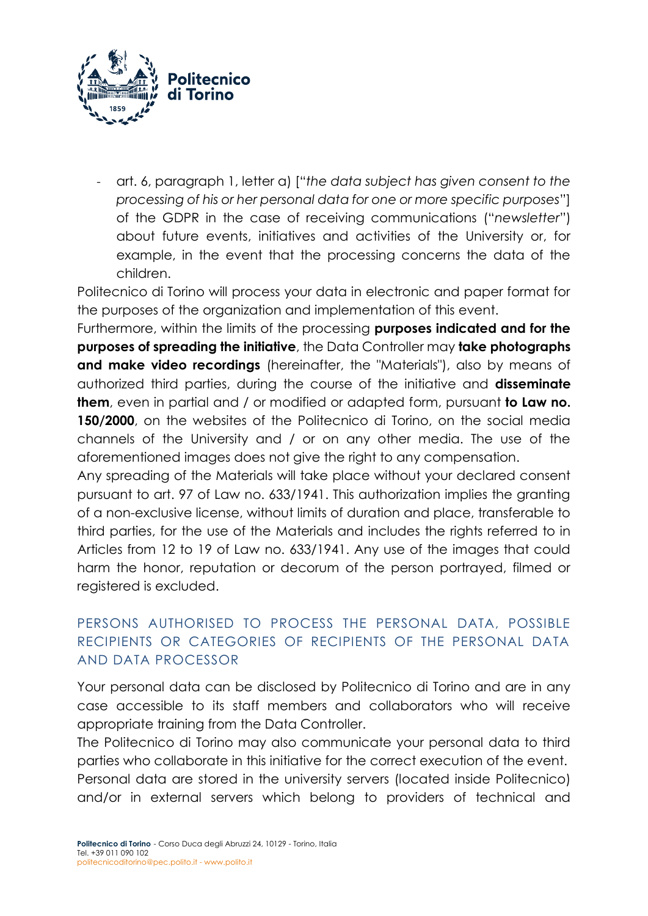

- art. 6, paragraph 1, letter a) ["*the data subject has given consent to the processing of his or her personal data for one or more specific purposes*"] of the GDPR in the case of receiving communications ("*newsletter*") about future events, initiatives and activities of the University or, for example, in the event that the processing concerns the data of the children.

Politecnico di Torino will process your data in electronic and paper format for the purposes of the organization and implementation of this event.

Furthermore, within the limits of the processing **purposes indicated and for the purposes of spreading the initiative**, the Data Controller may **take photographs and make video recordings** (hereinafter, the "Materials"), also by means of authorized third parties, during the course of the initiative and **disseminate them**, even in partial and / or modified or adapted form, pursuant **to Law no. 150/2000**, on the websites of the Politecnico di Torino, on the social media channels of the University and / or on any other media. The use of the aforementioned images does not give the right to any compensation.

Any spreading of the Materials will take place without your declared consent pursuant to art. 97 of Law no. 633/1941. This authorization implies the granting of a non-exclusive license, without limits of duration and place, transferable to third parties, for the use of the Materials and includes the rights referred to in Articles from 12 to 19 of Law no. 633/1941. Any use of the images that could harm the honor, reputation or decorum of the person portrayed, filmed or registered is excluded.

## PERSONS AUTHORISED TO PROCESS THE PERSONAL DATA, POSSIBLE RECIPIENTS OR CATEGORIES OF RECIPIENTS OF THE PERSONAL DATA AND DATA PROCESSOR

Your personal data can be disclosed by Politecnico di Torino and are in any case accessible to its staff members and collaborators who will receive appropriate training from the Data Controller.

The Politecnico di Torino may also communicate your personal data to third parties who collaborate in this initiative for the correct execution of the event. Personal data are stored in the university servers (located inside Politecnico) and/or in external servers which belong to providers of technical and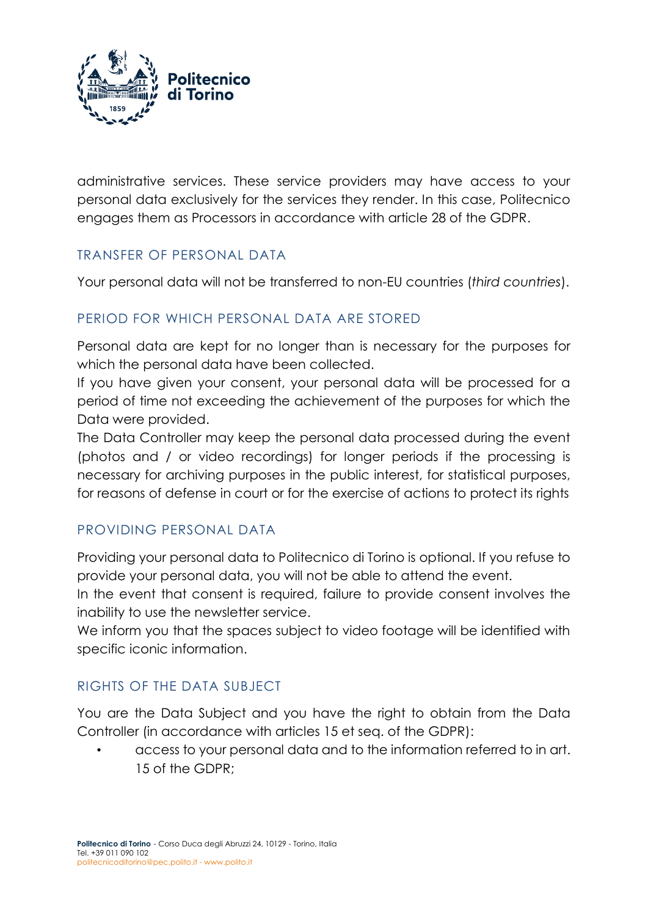

administrative services. These service providers may have access to your personal data exclusively for the services they render. In this case, Politecnico engages them as Processors in accordance with article 28 of the GDPR.

#### TRANSFER OF PERSONAL DATA

Your personal data will not be transferred to non-EU countries (*third countries*).

# PERIOD FOR WHICH PERSONAL DATA ARE STORED

Personal data are kept for no longer than is necessary for the purposes for which the personal data have been collected.

If you have given your consent, your personal data will be processed for a period of time not exceeding the achievement of the purposes for which the Data were provided.

The Data Controller may keep the personal data processed during the event (photos and / or video recordings) for longer periods if the processing is necessary for archiving purposes in the public interest, for statistical purposes, for reasons of defense in court or for the exercise of actions to protect its rights

## PROVIDING PERSONAL DATA

Providing your personal data to Politecnico di Torino is optional. If you refuse to provide your personal data, you will not be able to attend the event.

In the event that consent is required, failure to provide consent involves the inability to use the newsletter service.

We inform you that the spaces subject to video footage will be identified with specific iconic information.

## RIGHTS OF THE DATA SUBJECT

You are the Data Subject and you have the right to obtain from the Data Controller (in accordance with articles 15 et seq. of the GDPR):

• access to your personal data and to the information referred to in art. 15 of the GDPR;